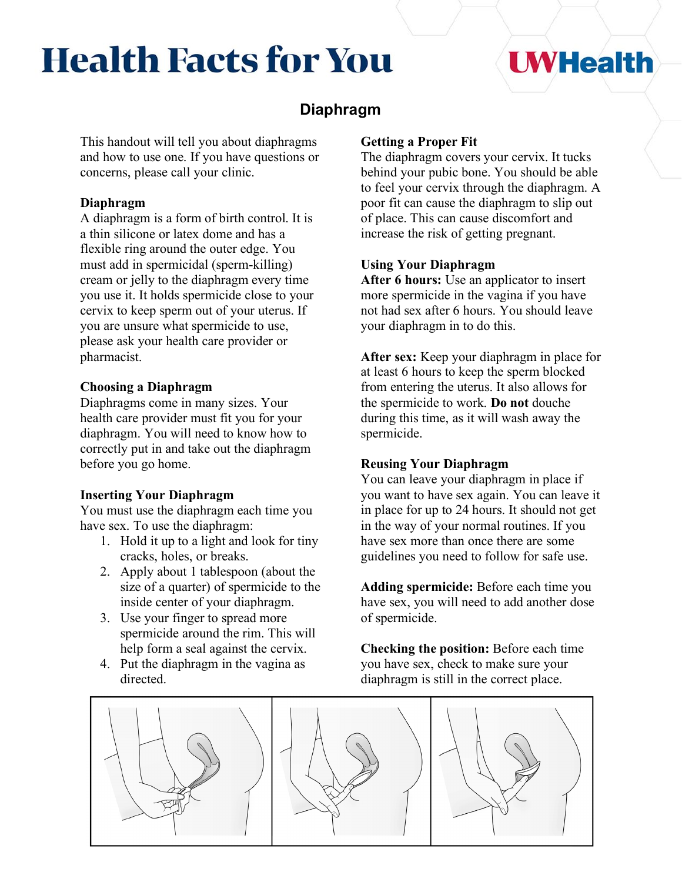# **Health Facts for You**

## **I WHealth**

### **Diaphragm**

This handout will tell you about diaphragms and how to use one. If you have questions or concerns, please call your clinic.

#### **Diaphragm**

A diaphragm is a form of birth control. It is a thin silicone or latex dome and has a flexible ring around the outer edge. You must add in spermicidal (sperm-killing) cream or jelly to the diaphragm every time you use it. It holds spermicide close to your cervix to keep sperm out of your uterus. If you are unsure what spermicide to use, please ask your health care provider or pharmacist.

#### **Choosing a Diaphragm**

Diaphragms come in many sizes. Your health care provider must fit you for your diaphragm. You will need to know how to correctly put in and take out the diaphragm before you go home.

#### **Inserting Your Diaphragm**

You must use the diaphragm each time you have sex. To use the diaphragm:

- 1. Hold it up to a light and look for tiny cracks, holes, or breaks.
- 2. Apply about 1 tablespoon (about the size of a quarter) of spermicide to the inside center of your diaphragm.
- 3. Use your finger to spread more spermicide around the rim. This will help form a seal against the cervix.
- 4. Put the diaphragm in the vagina as directed.

#### **Getting a Proper Fit**

The diaphragm covers your cervix. It tucks behind your pubic bone. You should be able to feel your cervix through the diaphragm. A poor fit can cause the diaphragm to slip out of place. This can cause discomfort and increase the risk of getting pregnant.

#### **Using Your Diaphragm**

**After 6 hours:** Use an applicator to insert more spermicide in the vagina if you have not had sex after 6 hours. You should leave your diaphragm in to do this.

**After sex:** Keep your diaphragm in place for at least 6 hours to keep the sperm blocked from entering the uterus. It also allows for the spermicide to work. **Do not** douche during this time, as it will wash away the spermicide.

#### **Reusing Your Diaphragm**

You can leave your diaphragm in place if you want to have sex again. You can leave it in place for up to 24 hours. It should not get in the way of your normal routines. If you have sex more than once there are some guidelines you need to follow for safe use.

**Adding spermicide:** Before each time you have sex, you will need to add another dose of spermicide.

**Checking the position:** Before each time you have sex, check to make sure your diaphragm is still in the correct place.

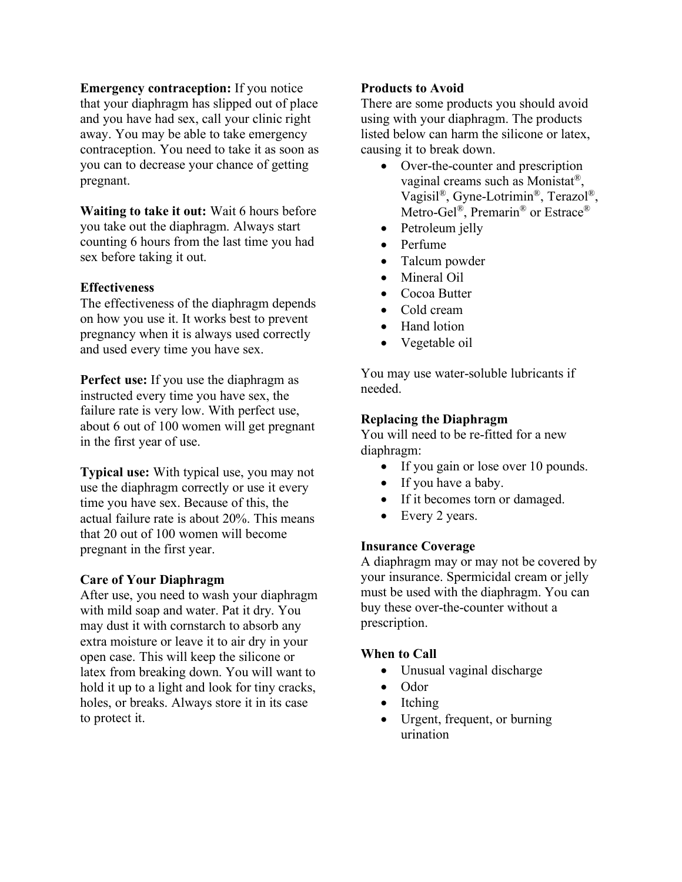**Emergency contraception:** If you notice that your diaphragm has slipped out of place and you have had sex, call your clinic right away. You may be able to take emergency contraception. You need to take it as soon as you can to decrease your chance of getting pregnant.

**Waiting to take it out:** Wait 6 hours before you take out the diaphragm. Always start counting 6 hours from the last time you had sex before taking it out.

#### **Effectiveness**

The effectiveness of the diaphragm depends on how you use it. It works best to prevent pregnancy when it is always used correctly and used every time you have sex.

**Perfect use:** If you use the diaphragm as instructed every time you have sex, the failure rate is very low. With perfect use, about 6 out of 100 women will get pregnant in the first year of use.

**Typical use:** With typical use, you may not use the diaphragm correctly or use it every time you have sex. Because of this, the actual failure rate is about 20%. This means that 20 out of 100 women will become pregnant in the first year.

#### **Care of Your Diaphragm**

After use, you need to wash your diaphragm with mild soap and water. Pat it dry. You may dust it with cornstarch to absorb any extra moisture or leave it to air dry in your open case. This will keep the silicone or latex from breaking down. You will want to hold it up to a light and look for tiny cracks, holes, or breaks. Always store it in its case to protect it.

#### **Products to Avoid**

There are some products you should avoid using with your diaphragm. The products listed below can harm the silicone or latex, causing it to break down.

- Over-the-counter and prescription vaginal creams such as Monistat®, Vagisil®, Gyne-Lotrimin®, Terazol®, Metro-Gel®, Premarin® or Estrace®
- Petroleum jelly
- Perfume
- Talcum powder
- Mineral Oil
- Cocoa Butter
- Cold cream
- Hand lotion
- Vegetable oil

You may use water-soluble lubricants if needed.

#### **Replacing the Diaphragm**

You will need to be re-fitted for a new diaphragm:

- If you gain or lose over 10 pounds.
- If you have a baby.
- If it becomes torn or damaged.
- Every 2 years.

#### **Insurance Coverage**

A diaphragm may or may not be covered by your insurance. Spermicidal cream or jelly must be used with the diaphragm. You can buy these over-the-counter without a prescription.

#### **When to Call**

- Unusual vaginal discharge
- Odor
- Itching
- Urgent, frequent, or burning urination